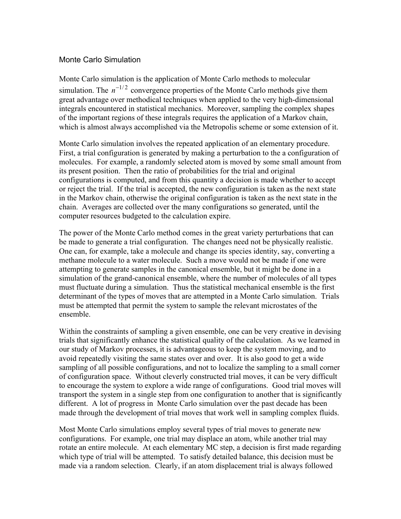## Monte Carlo Simulation

Monte Carlo simulation is the application of Monte Carlo methods to molecular simulation. The  $n^{-1/2}$  convergence properties of the Monte Carlo methods give them great advantage over methodical techniques when applied to the very high-dimensional integrals encountered in statistical mechanics. Moreover, sampling the complex shapes of the important regions of these integrals requires the application of a Markov chain, which is almost always accomplished via the Metropolis scheme or some extension of it.

Monte Carlo simulation involves the repeated application of an elementary procedure. First, a trial configuration is generated by making a perturbation to the a configuration of molecules. For example, a randomly selected atom is moved by some small amount from its present position. Then the ratio of probabilities for the trial and original configurations is computed, and from this quantity a decision is made whether to accept or reject the trial. If the trial is accepted, the new configuration is taken as the next state in the Markov chain, otherwise the original configuration is taken as the next state in the chain. Averages are collected over the many configurations so generated, until the computer resources budgeted to the calculation expire.

The power of the Monte Carlo method comes in the great variety perturbations that can be made to generate a trial configuration. The changes need not be physically realistic. One can, for example, take a molecule and change its species identity, say, converting a methane molecule to a water molecule. Such a move would not be made if one were attempting to generate samples in the canonical ensemble, but it might be done in a simulation of the grand-canonical ensemble, where the number of molecules of all types must fluctuate during a simulation. Thus the statistical mechanical ensemble is the first determinant of the types of moves that are attempted in a Monte Carlo simulation. Trials must be attempted that permit the system to sample the relevant microstates of the ensemble.

Within the constraints of sampling a given ensemble, one can be very creative in devising trials that significantly enhance the statistical quality of the calculation. As we learned in our study of Markov processes, it is advantageous to keep the system moving, and to avoid repeatedly visiting the same states over and over. It is also good to get a wide sampling of all possible configurations, and not to localize the sampling to a small corner of configuration space. Without cleverly constructed trial moves, it can be very difficult to encourage the system to explore a wide range of configurations. Good trial moves will transport the system in a single step from one configuration to another that is significantly different. A lot of progress in Monte Carlo simulation over the past decade has been made through the development of trial moves that work well in sampling complex fluids.

Most Monte Carlo simulations employ several types of trial moves to generate new configurations. For example, one trial may displace an atom, while another trial may rotate an entire molecule. At each elementary MC step, a decision is first made regarding which type of trial will be attempted. To satisfy detailed balance, this decision must be made via a random selection. Clearly, if an atom displacement trial is always followed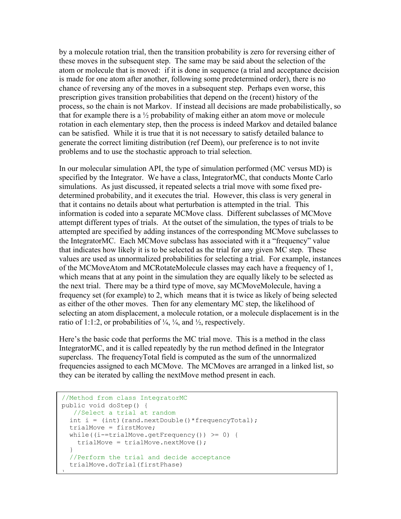by a molecule rotation trial, then the transition probability is zero for reversing either of these moves in the subsequent step. The same may be said about the selection of the atom or molecule that is moved: if it is done in sequence (a trial and acceptance decision is made for one atom after another, following some predetermined order), there is no chance of reversing any of the moves in a subsequent step. Perhaps even worse, this prescription gives transition probabilities that depend on the (recent) history of the process, so the chain is not Markov. If instead all decisions are made probabilistically, so that for example there is a  $\frac{1}{2}$  probability of making either an atom move or molecule rotation in each elementary step, then the process is indeed Markov and detailed balance can be satisfied. While it is true that it is not necessary to satisfy detailed balance to generate the correct limiting distribution (ref Deem), our preference is to not invite problems and to use the stochastic approach to trial selection.

In our molecular simulation API, the type of simulation performed (MC versus MD) is specified by the Integrator. We have a class, IntegratorMC, that conducts Monte Carlo simulations. As just discussed, it repeated selects a trial move with some fixed predetermined probability, and it executes the trial. However, this class is very general in that it contains no details about what perturbation is attempted in the trial. This information is coded into a separate MCMove class. Different subclasses of MCMove attempt different types of trials. At the outset of the simulation, the types of trials to be attempted are specified by adding instances of the corresponding MCMove subclasses to the IntegratorMC. Each MCMove subclass has associated with it a "frequency" value that indicates how likely it is to be selected as the trial for any given MC step. These values are used as unnormalized probabilities for selecting a trial. For example, instances of the MCMoveAtom and MCRotateMolecule classes may each have a frequency of 1, which means that at any point in the simulation they are equally likely to be selected as the next trial. There may be a third type of move, say MCMoveMolecule, having a frequency set (for example) to 2, which means that it is twice as likely of being selected as either of the other moves. Then for any elementary MC step, the likelihood of selecting an atom displacement, a molecule rotation, or a molecule displacement is in the ratio of 1:1:2, or probabilities of  $\frac{1}{4}$ ,  $\frac{1}{4}$ , and  $\frac{1}{2}$ , respectively.

Here's the basic code that performs the MC trial move. This is a method in the class IntegratorMC, and it is called repeatedly by the run method defined in the Integrator superclass. The frequencyTotal field is computed as the sum of the unnormalized frequencies assigned to each MCMove. The MCMoves are arranged in a linked list, so they can be iterated by calling the nextMove method present in each.

```
//Method from class IntegratorMC
public void doStep() {
   //Select a trial at random
  int i = (int) (rand.nextDouble() * frequencyTotal); trialMove = firstMove;
  while((i-=trialMove.getFrequency()) >= 0) {
    trialMove = triable, nextMove();
 }
   //Perform the trial and decide acceptance
   trialMove.doTrial(firstPhase)
\overline{ }
```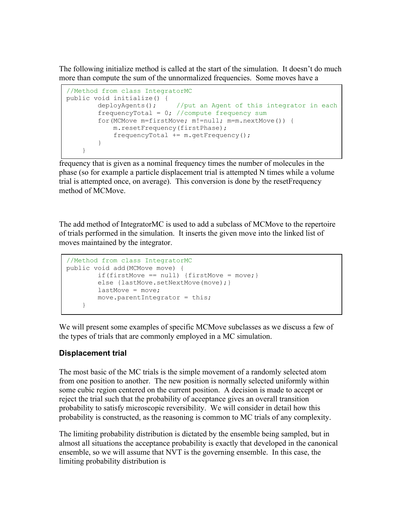The following initialize method is called at the start of the simulation. It doesn't do much more than compute the sum of the unnormalized frequencies. Some moves have a

```
//Method from class IntegratorMC
public void initialize() {
        deployAgents(); //put an Agent of this integrator in each
       frequencyTotal = 0; //compute frequency sum
        for(MCMove m=firstMove; m!=null; m=m.nextMove()) {
            m.resetFrequency(firstPhase);
            frequencyTotal += m.getFrequency();
         }
     }
```
frequency that is given as a nominal frequency times the number of molecules in the phase (so for example a particle displacement trial is attempted N times while a volume trial is attempted once, on average). This conversion is done by the resetFrequency method of MCMove.

The add method of IntegratorMC is used to add a subclass of MCMove to the repertoire of trials performed in the simulation. It inserts the given move into the linked list of moves maintained by the integrator.

```
//Method from class IntegratorMC
public void add(MCMove move) {
       if(firstMove == null) {firstMove = move; }
       else {lastMove.setNextMove(move); }
       lastMove = move; move.parentIntegrator = this;
     }
```
We will present some examples of specific MCMove subclasses as we discuss a few of the types of trials that are commonly employed in a MC simulation.

## **Displacement trial**

The most basic of the MC trials is the simple movement of a randomly selected atom from one position to another. The new position is normally selected uniformly within some cubic region centered on the current position. A decision is made to accept or reject the trial such that the probability of acceptance gives an overall transition probability to satisfy microscopic reversibility. We will consider in detail how this probability is constructed, as the reasoning is common to MC trials of any complexity.

The limiting probability distribution is dictated by the ensemble being sampled, but in almost all situations the acceptance probability is exactly that developed in the canonical ensemble, so we will assume that NVT is the governing ensemble. In this case, the limiting probability distribution is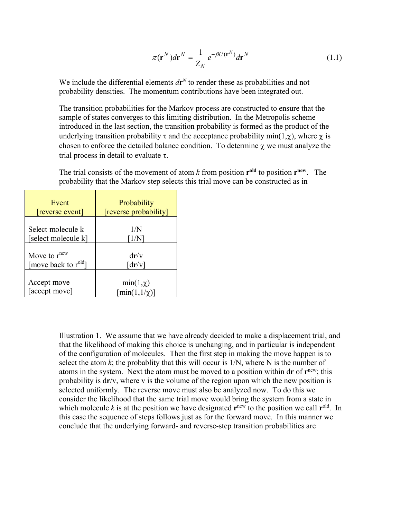$$
\pi(\mathbf{r}^N)d\mathbf{r}^N = \frac{1}{Z_N}e^{-\beta U(\mathbf{r}^N)}d\mathbf{r}^N
$$
\n(1.1)

We include the differential elements  $d\mathbf{r}^N$  to render these as probabilities and not probability densities. The momentum contributions have been integrated out.

The transition probabilities for the Markov process are constructed to ensure that the sample of states converges to this limiting distribution. In the Metropolis scheme introduced in the last section, the transition probability is formed as the product of the underlying transition probability  $\tau$  and the acceptance probability min(1, $\chi$ ), where  $\chi$  is chosen to enforce the detailed balance condition. To determine  $\chi$  we must analyze the trial process in detail to evaluate  $\tau$ .

The trial consists of the movement of atom  $k$  from position  $r<sup>old</sup>$  to position  $r<sup>new</sup>$ . The probability that the Markov step selects this trial move can be constructed as in

| Event                            | Probability                     |
|----------------------------------|---------------------------------|
| reverse event                    | [reverse probability]           |
| Select molecule k                | 1/N                             |
| [select molecule k]              | $\lceil 1/N \rceil$             |
| Move to $r^{new}$                | $d\mathbf{r}/v$                 |
| [move back to r <sup>old</sup> ] | $\lceil dr/v \rceil$            |
| Accept move                      | $min(1, \chi)$                  |
| [accept move]                    | $\lceil \min(1, 1/\chi) \rceil$ |

Illustration 1. We assume that we have already decided to make a displacement trial, and that the likelihood of making this choice is unchanging, and in particular is independent of the configuration of molecules. Then the first step in making the move happen is to select the atom  $k$ ; the probablity that this will occur is  $1/N$ , where N is the number of atoms in the system. Next the atom must be moved to a position within d**r** of **r**new; this probability is d**r**/v, where v is the volume of the region upon which the new position is selected uniformly. The reverse move must also be analyzed now. To do this we consider the likelihood that the same trial move would bring the system from a state in which molecule  $k$  is at the position we have designated  $\mathbf{r}^{\text{new}}$  to the position we call  $\mathbf{r}^{\text{old}}$ . In this case the sequence of steps follows just as for the forward move. In this manner we conclude that the underlying forward- and reverse-step transition probabilities are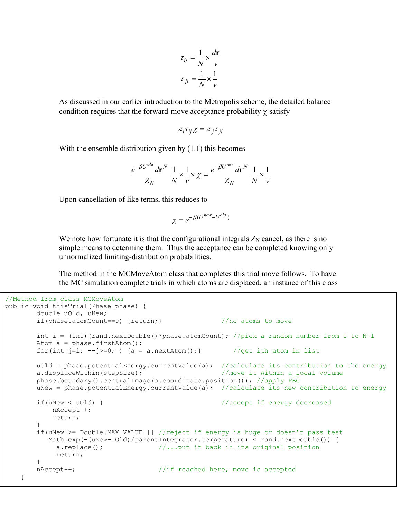$$
\tau_{ij} = \frac{1}{N} \times \frac{d\mathbf{r}}{v}
$$

$$
\tau_{ji} = \frac{1}{N} \times \frac{1}{v}
$$

As discussed in our earlier introduction to the Metropolis scheme, the detailed balance condition requires that the forward-move acceptance probability  $\chi$  satisfy

$$
\pi_i \tau_{ij} \chi = \pi_j \tau_{ji}
$$

With the ensemble distribution given by (1.1) this becomes

$$
\frac{e^{-\beta U^{old}} d\mathbf{r}^N}{Z_N} \frac{1}{N} \times \frac{1}{\nu} \times \chi = \frac{e^{-\beta U^{new}} d\mathbf{r}^N}{Z_N} \frac{1}{N} \times \frac{1}{\nu}
$$

Upon cancellation of like terms, this reduces to

$$
\chi = e^{-\beta(U^{new} - U^{old})}
$$

We note how fortunate it is that the configurational integrals  $Z_N$  cancel, as there is no simple means to determine them. Thus the acceptance can be completed knowing only unnormalized limiting-distribution probabilities.

The method in the MCMoveAtom class that completes this trial move follows. To have the MC simulation complete trials in which atoms are displaced, an instance of this class

```
//Method from class MCMoveAtom
public void thisTrial(Phase phase) {
        double uOld, uNew;
        if(phase.atomCount==0) {return;} //no atoms to move
       int i = (int)(rand.nextDouble()*phase.atomCount); //pick a random number from 0 to N-1
       Atom a = phase.firstAtom();
       for(int j=i; -j>=0;) {a = a.nextAtom();} //get ith atom in list
       uOld = phase.potentialEnergy.currentValue(a); //calculate its contribution to the energy
        a.displaceWithin(stepSize); //move it within a local volume
        phase.boundary().centralImage(a.coordinate.position()); //apply PBC 
       uNew = phase.potentialEnergy.currentValue(a); //calculate its new contribution to energy
        if(uNew < uOld) { //accept if energy decreased
           nAccept++;
           return;
 }
        if(uNew >= Double.MAX_VALUE || //reject if energy is huge or doesn't pass test
         Math.exp(-(uNew-uOld)/parentIntegrator.temperature) < rand.nextDouble()) {
            a.replace(); //...put it back in its original position
            return;
 }
        nAccept++; //if reached here, move is accepted
    }
```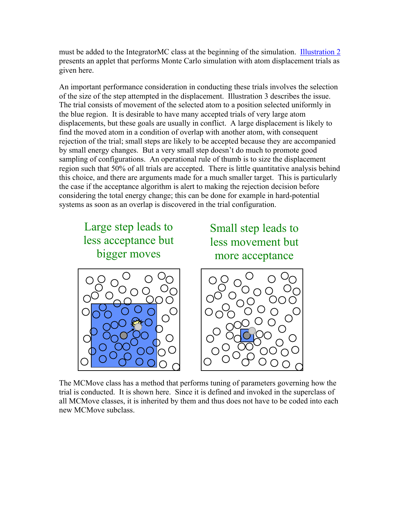must be added to the IntegratorMC class at the beginning of the simulation. Illustration 2 [presents an a](http://www.cheme.buffalo.edu/kofke/applets/SimpleMC.html)pplet that performs Monte Carlo simulation with atom displacement trials as given here.

An important performance consideration in conducting these trials involves the selection of the size of the step attempted in the displacement. Illustration 3 describes the issue. The trial consists of movement of the selected atom to a position selected uniformly in the blue region. It is desirable to have many accepted trials of very large atom displacements, but these goals are usually in conflict. A large displacement is likely to find the moved atom in a condition of overlap with another atom, with consequent rejection of the trial; small steps are likely to be accepted because they are accompanied by small energy changes. But a very small step doesn't do much to promote good sampling of configurations. An operational rule of thumb is to size the displacement region such that 50% of all trials are accepted. There is little quantitative analysis behind this choice, and there are arguments made for a much smaller target. This is particularly the case if the acceptance algorithm is alert to making the rejection decision before considering the total energy change; this can be done for example in hard-potential systems as soon as an overlap is discovered in the trial configuration.

Large step leads to less acceptance but bigger moves

Small step leads to less movement but more acceptance





The MCMove class has a method that performs tuning of parameters governing how the trial is conducted. It is shown here. Since it is defined and invoked in the superclass of all MCMove classes, it is inherited by them and thus does not have to be coded into each new MCMove subclass.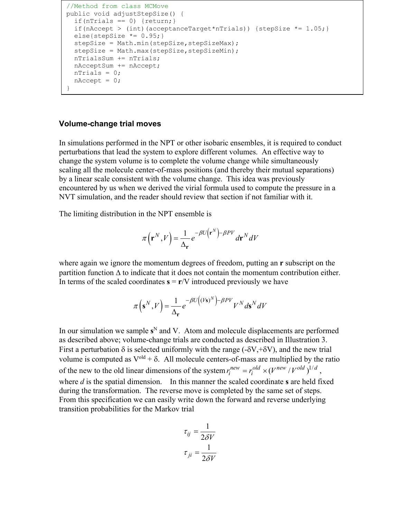```
//Method from class MCMove
public void adjustStepSize() {
  if(nTrials == 0) {return; }
  if(nAccept > (int)(acceptanceTarget*nTrials)) {stepSize *= 1.05;}
  else{stepSize *= 0.95;}
  stepSize = Math.min(stepSize, stepSizeMax);
  stepSize = Math.max(stepSize, stepSizeMin);
   nTrialsSum += nTrials;
   nAcceptSum += nAccept;
   nTrials = 0;
  nAccept = 0;
}
```
## **Volume-change trial moves**

Ī

In simulations performed in the NPT or other isobaric ensembles, it is required to conduct perturbations that lead the system to explore different volumes. An effective way to change the system volume is to complete the volume change while simultaneously scaling all the molecule center-of-mass positions (and thereby their mutual separations) by a linear scale consistent with the volume change. This idea was previously encountered by us when we derived the virial formula used to compute the pressure in a NVT simulation, and the reader should review that section if not familiar with it.

The limiting distribution in the NPT ensemble is

$$
\pi(\mathbf{r}^N, V) = \frac{1}{\Delta_{\mathbf{r}}} e^{-\beta U(\mathbf{r}^N) - \beta PV} d\mathbf{r}^N dV
$$

where again we ignore the momentum degrees of freedom, putting an **r** subscript on the partition function  $\Delta$  to indicate that it does not contain the momentum contribution either. In terms of the scaled coordinates  $\mathbf{s} = \mathbf{r}/V$  introduced previously we have

$$
\pi(\mathbf{s}^N, V) = \frac{1}{\Delta_{\mathbf{r}}} e^{-\beta U((V\mathbf{s})^N) - \beta PV} V^N d\mathbf{s}^N dV
$$

In our simulation we sample  $s^N$  and V. Atom and molecule displacements are performed as described above; volume-change trials are conducted as described in Illustration 3. First a perturbation  $\delta$  is selected uniformly with the range (- $\delta V, +\delta V$ ), and the new trial volume is computed as  $V^{old} + \delta$ . All molecule centers-of-mass are multiplied by the ratio of the new to the old linear dimensions of the system  $r_i^{new} = r_i^{old} \times (V^{new} / V^{old})^{1/d}$ , where *d* is the spatial dimension. In this manner the scaled coordinate **s** are held fixed during the transformation. The reverse move is completed by the same set of steps. From this specification we can easily write down the forward and reverse underlying transition probabilities for the Markov trial

$$
\tau_{ij} = \frac{1}{2\delta V}
$$

$$
\tau_{ji} = \frac{1}{2\delta V}
$$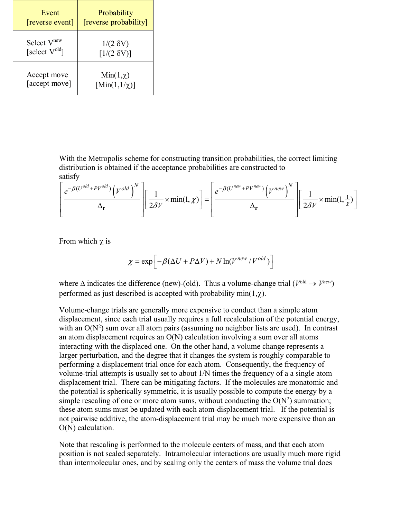| Event                   | Probability              |
|-------------------------|--------------------------|
| [reverse event]         | [reverse probability]    |
| Select V <sup>new</sup> | $1/(2 \delta V)$         |
| [select $V^{old}$ ]     | $[1/(2 \delta V)]$       |
| Accept move             | $Min(1,\chi)$            |
| [accept move]           | $[\text{Min}(1,1/\chi)]$ |

With the Metropolis scheme for constructing transition probabilities, the correct limiting distribution is obtained if the acceptance probabilities are constructed to satisfy

$$
\left[\frac{e^{-\beta(U^{old}+PV^{old})}\left(V^{old}\right)^{N}}{\Delta_{\mathbf{r}}}\right]\left[\frac{1}{2\delta V}\times\min(1,\chi)\right]=\left[\frac{e^{-\beta(U^{new}+PV^{new})}\left(V^{new}\right)^{N}}{\Delta_{\mathbf{r}}}\right]\left[\frac{1}{2\delta V}\times\min(1,\frac{1}{\chi})\right]
$$

From which  $\chi$  is

$$
\chi = \exp\Bigl[-\beta(\Delta U + P\Delta V) + N\ln(V^{new}/V^{old})\Bigr]
$$

where  $\Delta$  indicates the difference (new)-(old). Thus a volume-change trial ( $V^{old} \rightarrow V^{new}$ ) performed as just described is accepted with probability  $min(1,\chi)$ .

Volume-change trials are generally more expensive to conduct than a simple atom displacement, since each trial usually requires a full recalculation of the potential energy, with an  $O(N^2)$  sum over all atom pairs (assuming no neighbor lists are used). In contrast an atom displacement requires an O(N) calculation involving a sum over all atoms interacting with the displaced one. On the other hand, a volume change represents a larger perturbation, and the degree that it changes the system is roughly comparable to performing a displacement trial once for each atom. Consequently, the frequency of volume-trial attempts is usually set to about 1/N times the frequency of a a single atom displacement trial. There can be mitigating factors. If the molecules are monatomic and the potential is spherically symmetric, it is usually possible to compute the energy by a simple rescaling of one or more atom sums, without conducting the  $O(N^2)$  summation; these atom sums must be updated with each atom-displacement trial. If the potential is not pairwise additive, the atom-displacement trial may be much more expensive than an O(N) calculation.

Note that rescaling is performed to the molecule centers of mass, and that each atom position is not scaled separately. Intramolecular interactions are usually much more rigid than intermolecular ones, and by scaling only the centers of mass the volume trial does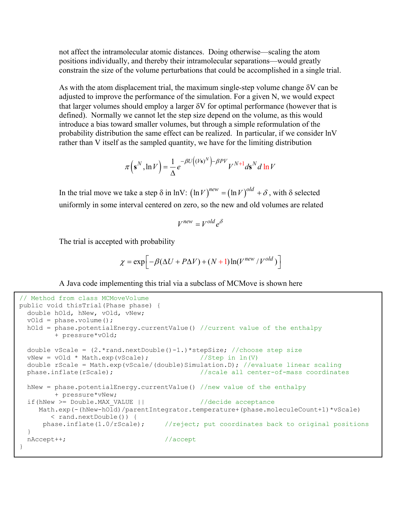not affect the intramolecular atomic distances. Doing otherwise—scaling the atom positions individually, and thereby their intramolecular separations—would greatly constrain the size of the volume perturbations that could be accomplished in a single trial.

As with the atom displacement trial, the maximum single-step volume change  $\delta V$  can be adjusted to improve the performance of the simulation. For a given N, we would expect that larger volumes should employ a larger  $\delta V$  for optimal performance (however that is defined). Normally we cannot let the step size depend on the volume, as this would introduce a bias toward smaller volumes, but through a simple reformulation of the probability distribution the same effect can be realized. In particular, if we consider lnV rather than V itself as the sampled quantity, we have for the limiting distribution

$$
\pi(\mathbf{s}^N, \ln V) = \frac{1}{\Delta} e^{-\beta U((V\mathbf{s})^N) - \beta PV} V^{N+1} d\mathbf{s}^N d\ln V
$$

In the trial move we take a step  $\delta$  in lnV:  $(\ln V)^{new} = (\ln V)^{old} + \delta$ , with  $\delta$  selected uniformly in some interval centered on zero, so the new and old volumes are related

$$
V^{new} = V^{old} e^{\delta}
$$

The trial is accepted with probability

$$
\chi = \exp\left[-\beta(\Delta U + P\Delta V) + (N+1)\ln(V^{new}/V^{old})\right]
$$

A Java code implementing this trial via a subclass of MCMove is shown here

```
// Method from class MCMoveVolume
public void thisTrial(Phase phase) {
  double hOld, hNew, vOld, vNew;
  vOld = phase.volume();
 hOld = phase.potentialEnergy.currentValue() //current value of the enthalpy
         + pressure*vOld; 
 double vScale = (2.*rand.nextDouble() -1.) * stepSize; // choose step sizevNew = vOld * Math.exp(vScale); //Step in ln(V)
  double rScale = Math.exp(vScale/(double)Simulation.D); //evaluate linear scaling
 phase.inflate(rScale); \frac{1}{s} //scale all center-of-mass coordinates
  hNew = phase.potentialEnergy.currentValue() //new value of the enthalpy
         + pressure*vNew;
  if(hNew >= Double.MAX_VALUE || //decide acceptance
    Math.exp(-(hNew-hOld)/parentIntegrator.temperature+(phase.moleculeCount+1)*vScale)
        < rand.nextDouble()) {
      phase.inflate(1.0/rScale); //reject; put coordinates back to original positions
  }
 nAccept++; // accept}
```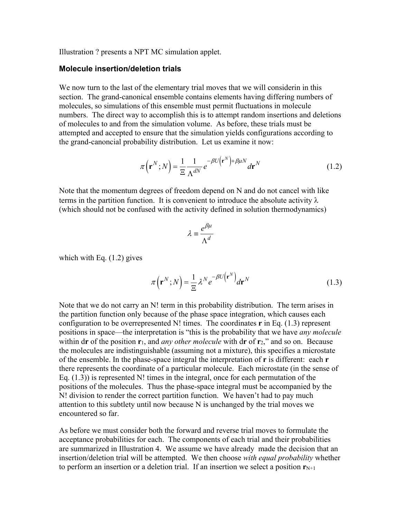Illustration ? presents a NPT MC simulation applet.

## **Molecule insertion/deletion trials**

We now turn to the last of the elementary trial moves that we will considerin in this section. The grand-canonical ensemble contains elements having differing numbers of molecules, so simulations of this ensemble must permit fluctuations in molecule numbers. The direct way to accomplish this is to attempt random insertions and deletions of molecules to and from the simulation volume. As before, these trials must be attempted and accepted to ensure that the simulation yields configurations according to the grand-canoncial probability distribution. Let us examine it now:

$$
\pi(\mathbf{r}^N;N) = \frac{1}{\Xi} \frac{1}{\Lambda^{dN}} e^{-\beta U(\mathbf{r}^N) + \beta \mu N} d\mathbf{r}^N
$$
\n(1.2)

Note that the momentum degrees of freedom depend on N and do not cancel with like terms in the partition function. It is convenient to introduce the absolute activity  $\lambda$ (which should not be confused with the activity defined in solution thermodynamics)

$$
\lambda \equiv \frac{e^{\beta \mu}}{\Lambda^d}
$$

which with Eq.  $(1.2)$  gives

$$
\pi(\mathbf{r}^N;N) = \frac{1}{\Xi} \lambda^N e^{-\beta U(\mathbf{r}^N)} d\mathbf{r}^N
$$
 (1.3)

Note that we do not carry an N! term in this probability distribution. The term arises in the partition function only because of the phase space integration, which causes each configuration to be overrepresented N! times. The coordinates **r** in Eq. (1.3) represent positions in space—the interpretation is "this is the probability that we have *any molecule* within d**r** of the position **r**1, and *any other molecule* with d**r** of **r**2," and so on. Because the molecules are indistinguishable (assuming not a mixture), this specifies a microstate of the ensemble. In the phase-space integral the interpretation of **r** is different: each **r**  there represents the coordinate of a particular molecule. Each microstate (in the sense of Eq.  $(1.3)$ ) is represented N! times in the integral, once for each permutation of the positions of the molecules. Thus the phase-space integral must be accompanied by the N! division to render the correct partition function. We haven't had to pay much attention to this subtlety until now because N is unchanged by the trial moves we encountered so far.

As before we must consider both the forward and reverse trial moves to formulate the acceptance probabilities for each. The components of each trial and their probabilities are summarized in Illustration 4. We assume we have already made the decision that an insertion/deletion trial will be attempted. We then choose *with equal probability* whether to perform an insertion or a deletion trial. If an insertion we select a position  $\mathbf{r}_{N+1}$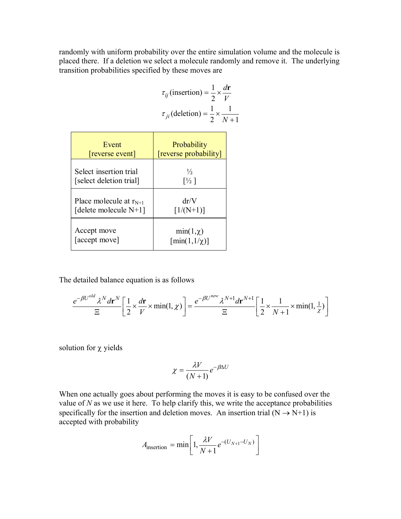randomly with uniform probability over the entire simulation volume and the molecule is placed there. If a deletion we select a molecule randomly and remove it. The underlying transition probabilities specified by these moves are

$$
\tau_{ij} \text{(insertion)} = \frac{1}{2} \times \frac{d\mathbf{r}}{V}
$$

$$
\tau_{ji} \text{(deletion)} = \frac{1}{2} \times \frac{1}{N+1}
$$

| Event                       | Probability                     |
|-----------------------------|---------------------------------|
| [reverse event]             | [reverse probability]           |
| Select insertion trial      | $\frac{1}{2}$                   |
| [select deletion trial]     | $\lceil\frac{1}{2}\rceil$       |
| Place molecule at $r_{N+1}$ | dr/V                            |
| [delete molecule $N+1$ ]    | $[1/(N+1)]$                     |
| Accept move                 | $min(1, \chi)$                  |
| [accept move]               | $\lceil \min(1, 1/\chi) \rceil$ |

The detailed balance equation is as follows

$$
\frac{e^{-\beta U^{old}} \lambda^N d\mathbf{r}^N}{\Xi} \left[ \frac{1}{2} \times \frac{d\mathbf{r}}{V} \times \min(1, \chi) \right] = \frac{e^{-\beta U^{new}} \lambda^{N+1} d\mathbf{r}^{N+1}}{\Xi} \left[ \frac{1}{2} \times \frac{1}{N+1} \times \min(1, \frac{1}{\chi}) \right]
$$

solution for  $\chi$  yields

$$
\chi = \frac{\lambda V}{(N+1)} e^{-\beta \Delta U}
$$

When one actually goes about performing the moves it is easy to be confused over the value of *N* as we use it here. To help clarify this, we write the acceptance probabilities specifically for the insertion and deletion moves. An insertion trial  $(N \rightarrow N+1)$  is accepted with probability

$$
A_{\text{insertion}} = \min \left[ 1, \frac{\lambda V}{N+1} e^{-(U_{N+1} - U_N)} \right]
$$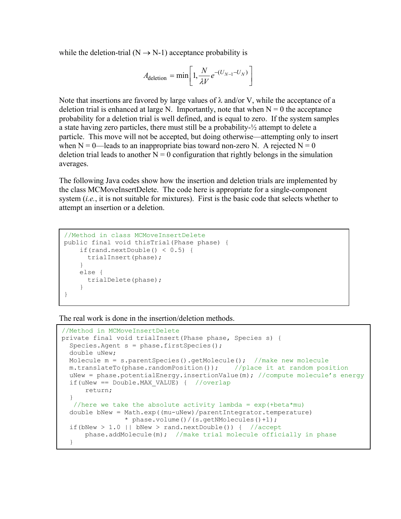while the deletion-trial ( $N \rightarrow N-1$ ) acceptance probability is

$$
A_{\text{deletion}} = \min \left[ 1, \frac{N}{\lambda V} e^{-(U_{N-1} - U_N)} \right]
$$

Note that insertions are favored by large values of  $\lambda$  and/or V, while the acceptance of a deletion trial is enhanced at large N. Importantly, note that when  $N = 0$  the acceptance probability for a deletion trial is well defined, and is equal to zero. If the system samples a state having zero particles, there must still be a probability-½ attempt to delete a particle. This move will not be accepted, but doing otherwise—attempting only to insert when  $N = 0$ —leads to an inappropriate bias toward non-zero N. A rejected  $N = 0$ deletion trial leads to another  $N = 0$  configuration that rightly belongs in the simulation averages.

The following Java codes show how the insertion and deletion trials are implemented by the class MCMoveInsertDelete. The code here is appropriate for a single-component system (*i.e.*, it is not suitable for mixtures). First is the basic code that selects whether to attempt an insertion or a deletion.

```
//Method in class MCMoveInsertDelete
public final void thisTrial(Phase phase) {
    if(rand.nextDouble() < 0.5) {
      trialInsert(phase); 
     }
     else {
      trialDelete(phase);
     }
}
```
The real work is done in the insertion/deletion methods.

```
//Method in MCMoveInsertDelete
private final void trialInsert(Phase phase, Species s) {
  Species.Agent s = phase.firstSpecies();
  double uNew;
  Molecule m = s.parentSpecies().getMolecule(); //make new molecule m.translateTo (phase.randomPosition()); //place it at random position
  m.translateTo(phase.randomPosition());
  uNew = phase.potentialEnergy.insertionValue(m); //compute molecule's energy
  if(uNew == Double.MAX VALUE) { //overlap return;
 }
   //here we take the absolute activity lambda = exp(+beta*mu) double bNew = Math.exp((mu-uNew)/parentIntegrator.temperature)
                  * phase.volume()/(s.getNMolecules()+1);
  if(bNew > 1.0 || bNew > rand.nextDouble()) { //accept
      phase.addMolecule(m); // make trial molecule officially in phase
   }
}
```